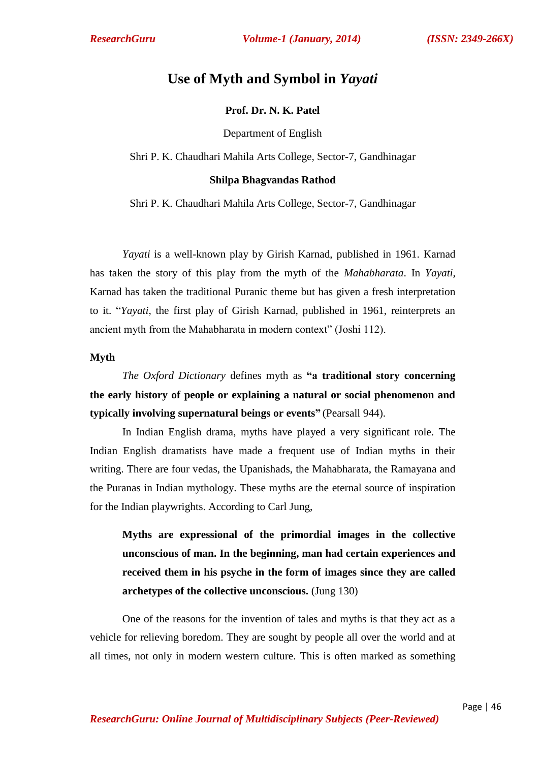# **Use of Myth and Symbol in** *Yayati*

## **Prof. Dr. N. K. Patel**

Department of English

Shri P. K. Chaudhari Mahila Arts College, Sector-7, Gandhinagar

### **Shilpa Bhagvandas Rathod**

Shri P. K. Chaudhari Mahila Arts College, Sector-7, Gandhinagar

*Yayati* is a well-known play by Girish Karnad, published in 1961. Karnad has taken the story of this play from the myth of the *Mahabharata*. In *Yayati*, Karnad has taken the traditional Puranic theme but has given a fresh interpretation to it. ―*Yayati*, the first play of Girish Karnad, published in 1961, reinterprets an ancient myth from the Mahabharata in modern context" (Joshi 112).

### **Myth**

*The Oxford Dictionary* defines myth as **"a traditional story concerning the early history of people or explaining a natural or social phenomenon and typically involving supernatural beings or events"** (Pearsall 944).

In Indian English drama, myths have played a very significant role. The Indian English dramatists have made a frequent use of Indian myths in their writing. There are four vedas, the Upanishads, the Mahabharata, the Ramayana and the Puranas in Indian mythology. These myths are the eternal source of inspiration for the Indian playwrights. According to Carl Jung,

**Myths are expressional of the primordial images in the collective unconscious of man. In the beginning, man had certain experiences and received them in his psyche in the form of images since they are called archetypes of the collective unconscious.** (Jung 130)

One of the reasons for the invention of tales and myths is that they act as a vehicle for relieving boredom. They are sought by people all over the world and at all times, not only in modern western culture. This is often marked as something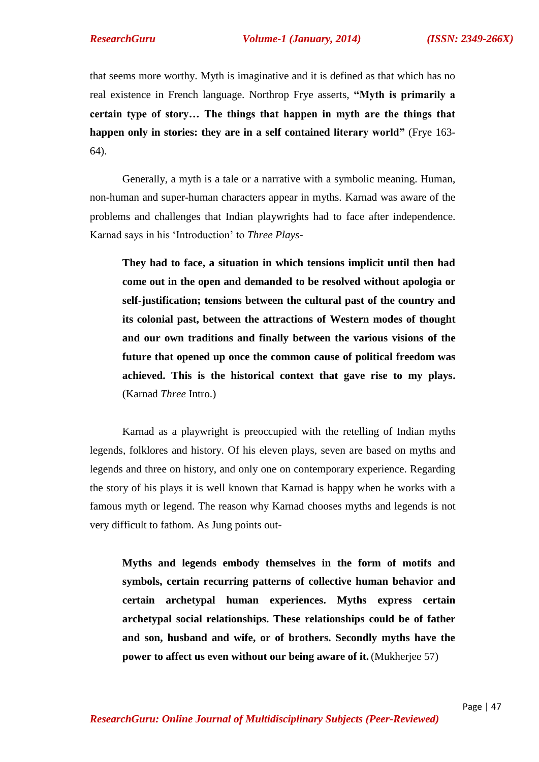that seems more worthy. Myth is imaginative and it is defined as that which has no real existence in French language. Northrop Frye asserts, **"Myth is primarily a certain type of story… The things that happen in myth are the things that happen only in stories: they are in a self contained literary world"** (Frye 163- 64).

Generally, a myth is a tale or a narrative with a symbolic meaning. Human, non-human and super-human characters appear in myths. Karnad was aware of the problems and challenges that Indian playwrights had to face after independence. Karnad says in his ‗Introduction' to *Three Plays*-

**They had to face, a situation in which tensions implicit until then had come out in the open and demanded to be resolved without apologia or self-justification; tensions between the cultural past of the country and its colonial past, between the attractions of Western modes of thought and our own traditions and finally between the various visions of the future that opened up once the common cause of political freedom was achieved. This is the historical context that gave rise to my plays.** (Karnad *Three* Intro.)

Karnad as a playwright is preoccupied with the retelling of Indian myths legends, folklores and history. Of his eleven plays, seven are based on myths and legends and three on history, and only one on contemporary experience. Regarding the story of his plays it is well known that Karnad is happy when he works with a famous myth or legend. The reason why Karnad chooses myths and legends is not very difficult to fathom. As Jung points out-

**Myths and legends embody themselves in the form of motifs and symbols, certain recurring patterns of collective human behavior and certain archetypal human experiences. Myths express certain archetypal social relationships. These relationships could be of father and son, husband and wife, or of brothers. Secondly myths have the power to affect us even without our being aware of it.** (Mukherjee 57)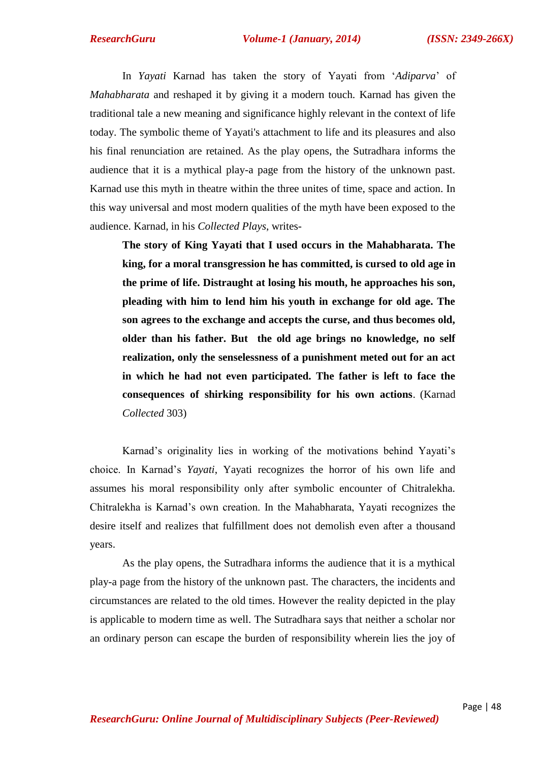In *Yayati* Karnad has taken the story of Yayati from ‗*Adiparva*' of *Mahabharata* and reshaped it by giving it a modern touch. Karnad has given the traditional tale a new meaning and significance highly relevant in the context of life today. The symbolic theme of Yayati's attachment to life and its pleasures and also his final renunciation are retained. As the play opens, the Sutradhara informs the audience that it is a mythical play-a page from the history of the unknown past. Karnad use this myth in theatre within the three unites of time, space and action. In this way universal and most modern qualities of the myth have been exposed to the audience. Karnad, in his *Collected Plays*, writes-

**The story of King Yayati that I used occurs in the Mahabharata. The king, for a moral transgression he has committed, is cursed to old age in the prime of life. Distraught at losing his mouth, he approaches his son, pleading with him to lend him his youth in exchange for old age. The son agrees to the exchange and accepts the curse, and thus becomes old, older than his father. But the old age brings no knowledge, no self realization, only the senselessness of a punishment meted out for an act in which he had not even participated. The father is left to face the consequences of shirking responsibility for his own actions**. (Karnad *Collected* 303)

Karnad's originality lies in working of the motivations behind Yayati's choice. In Karnad's *Yayati*, Yayati recognizes the horror of his own life and assumes his moral responsibility only after symbolic encounter of Chitralekha. Chitralekha is Karnad's own creation. In the Mahabharata, Yayati recognizes the desire itself and realizes that fulfillment does not demolish even after a thousand years.

As the play opens, the Sutradhara informs the audience that it is a mythical play-a page from the history of the unknown past. The characters, the incidents and circumstances are related to the old times. However the reality depicted in the play is applicable to modern time as well. The Sutradhara says that neither a scholar nor an ordinary person can escape the burden of responsibility wherein lies the joy of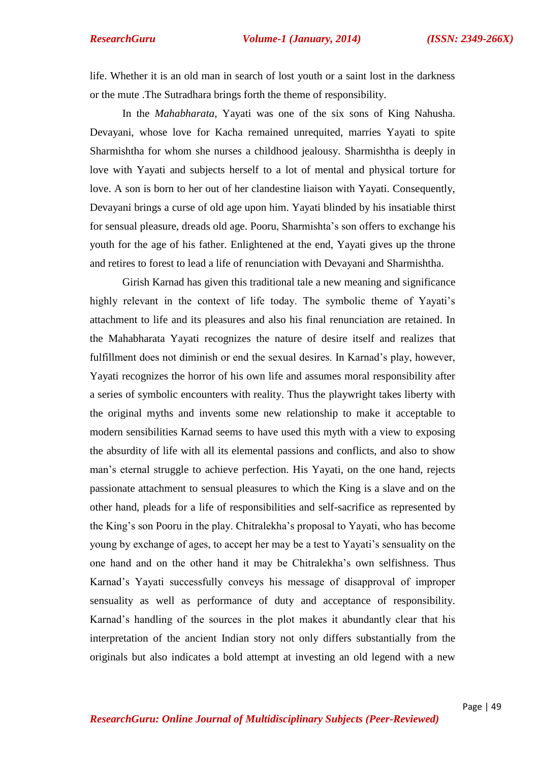life. Whether it is an old man in search of lost youth or a saint lost in the darkness or the mute .The Sutradhara brings forth the theme of responsibility.

In the *Mahabharata*, Yayati was one of the six sons of King Nahusha. Devayani, whose love for Kacha remained unrequited, marries Yayati to spite Sharmishtha for whom she nurses a childhood jealousy. Sharmishtha is deeply in love with Yayati and subjects herself to a lot of mental and physical torture for love. A son is born to her out of her clandestine liaison with Yayati. Consequently, Devayani brings a curse of old age upon him. Yayati blinded by his insatiable thirst for sensual pleasure, dreads old age. Pooru, Sharmishta's son offers to exchange his youth for the age of his father. Enlightened at the end, Yayati gives up the throne and retires to forest to lead a life of renunciation with Devayani and Sharmishtha.

Girish Karnad has given this traditional tale a new meaning and significance highly relevant in the context of life today. The symbolic theme of Yayati's attachment to life and its pleasures and also his final renunciation are retained. In the Mahabharata Yayati recognizes the nature of desire itself and realizes that fulfillment does not diminish or end the sexual desires. In Karnad's play, however, Yayati recognizes the horror of his own life and assumes moral responsibility after a series of symbolic encounters with reality. Thus the playwright takes liberty with the original myths and invents some new relationship to make it acceptable to modern sensibilities Karnad seems to have used this myth with a view to exposing the absurdity of life with all its elemental passions and conflicts, and also to show man's eternal struggle to achieve perfection. His Yayati, on the one hand, rejects passionate attachment to sensual pleasures to which the King is a slave and on the other hand, pleads for a life of responsibilities and self-sacrifice as represented by the King's son Pooru in the play. Chitralekha's proposal to Yayati, who has become young by exchange of ages, to accept her may be a test to Yayati's sensuality on the one hand and on the other hand it may be Chitralekha's own selfishness. Thus Karnad's Yayati successfully conveys his message of disapproval of improper sensuality as well as performance of duty and acceptance of responsibility. Karnad's handling of the sources in the plot makes it abundantly clear that his interpretation of the ancient Indian story not only differs substantially from the originals but also indicates a bold attempt at investing an old legend with a new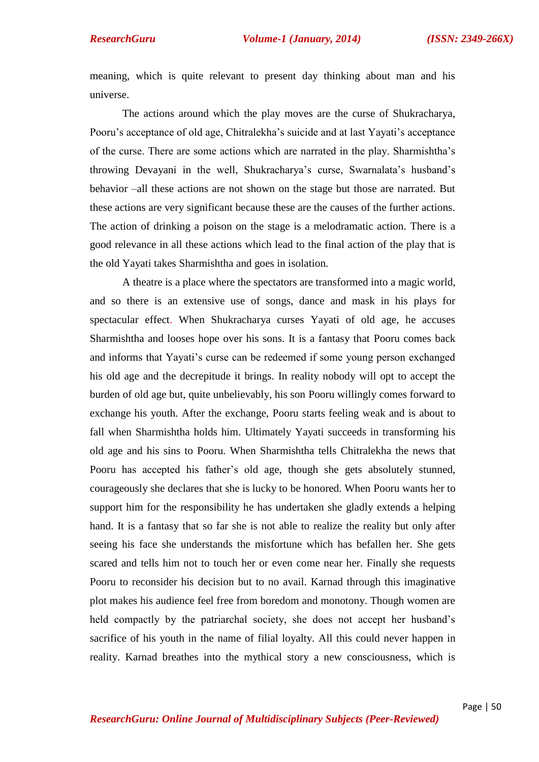meaning, which is quite relevant to present day thinking about man and his universe.

The actions around which the play moves are the curse of Shukracharya, Pooru's acceptance of old age, Chitralekha's suicide and at last Yayati's acceptance of the curse. There are some actions which are narrated in the play. Sharmishtha's throwing Devayani in the well, Shukracharya's curse, Swarnalata's husband's behavior –all these actions are not shown on the stage but those are narrated. But these actions are very significant because these are the causes of the further actions. The action of drinking a poison on the stage is a melodramatic action. There is a good relevance in all these actions which lead to the final action of the play that is the old Yayati takes Sharmishtha and goes in isolation.

A theatre is a place where the spectators are transformed into a magic world, and so there is an extensive use of songs, dance and mask in his plays for spectacular effect. When Shukracharya curses Yayati of old age, he accuses Sharmishtha and looses hope over his sons. It is a fantasy that Pooru comes back and informs that Yayati's curse can be redeemed if some young person exchanged his old age and the decrepitude it brings. In reality nobody will opt to accept the burden of old age but, quite unbelievably, his son Pooru willingly comes forward to exchange his youth. After the exchange, Pooru starts feeling weak and is about to fall when Sharmishtha holds him. Ultimately Yayati succeeds in transforming his old age and his sins to Pooru. When Sharmishtha tells Chitralekha the news that Pooru has accepted his father's old age, though she gets absolutely stunned, courageously she declares that she is lucky to be honored. When Pooru wants her to support him for the responsibility he has undertaken she gladly extends a helping hand. It is a fantasy that so far she is not able to realize the reality but only after seeing his face she understands the misfortune which has befallen her. She gets scared and tells him not to touch her or even come near her. Finally she requests Pooru to reconsider his decision but to no avail. Karnad through this imaginative plot makes his audience feel free from boredom and monotony. Though women are held compactly by the patriarchal society, she does not accept her husband's sacrifice of his youth in the name of filial loyalty. All this could never happen in reality. Karnad breathes into the mythical story a new consciousness, which is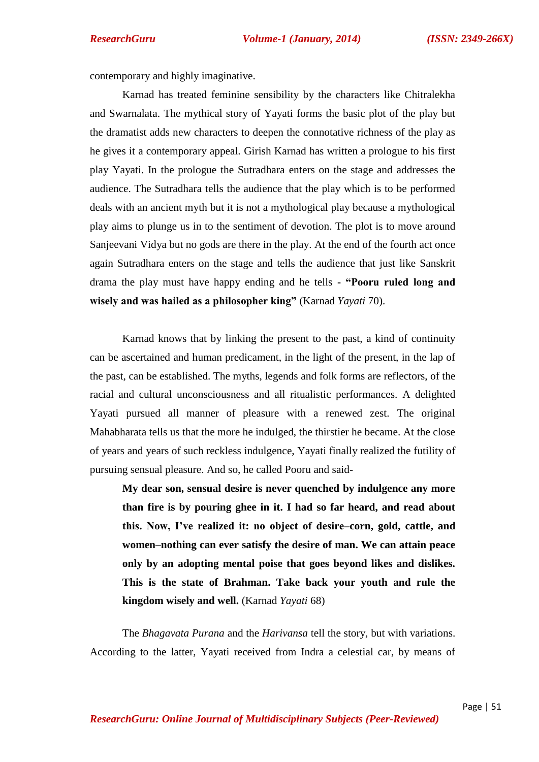contemporary and highly imaginative.

Karnad has treated feminine sensibility by the characters like Chitralekha and Swarnalata. The mythical story of Yayati forms the basic plot of the play but the dramatist adds new characters to deepen the connotative richness of the play as he gives it a contemporary appeal. Girish Karnad has written a prologue to his first play Yayati. In the prologue the Sutradhara enters on the stage and addresses the audience. The Sutradhara tells the audience that the play which is to be performed deals with an ancient myth but it is not a mythological play because a mythological play aims to plunge us in to the sentiment of devotion. The plot is to move around Sanjeevani Vidya but no gods are there in the play. At the end of the fourth act once again Sutradhara enters on the stage and tells the audience that just like Sanskrit drama the play must have happy ending and he tells **- "Pooru ruled long and wisely and was hailed as a philosopher king"** (Karnad *Yayati* 70).

Karnad knows that by linking the present to the past, a kind of continuity can be ascertained and human predicament, in the light of the present, in the lap of the past, can be established. The myths, legends and folk forms are reflectors, of the racial and cultural unconsciousness and all ritualistic performances. A delighted Yayati pursued all manner of pleasure with a renewed zest. The original Mahabharata tells us that the more he indulged, the thirstier he became. At the close of years and years of such reckless indulgence, Yayati finally realized the futility of pursuing sensual pleasure. And so, he called Pooru and said-

**My dear son, sensual desire is never quenched by indulgence any more than fire is by pouring ghee in it. I had so far heard, and read about this. Now, I've realized it: no object of desire–corn, gold, cattle, and women–nothing can ever satisfy the desire of man. We can attain peace only by an adopting mental poise that goes beyond likes and dislikes. This is the state of Brahman. Take back your youth and rule the kingdom wisely and well.** (Karnad *Yayati* 68)

The *Bhagavata Purana* and the *Harivansa* tell the story, but with variations. According to the latter, Yayati received from Indra a celestial car, by means of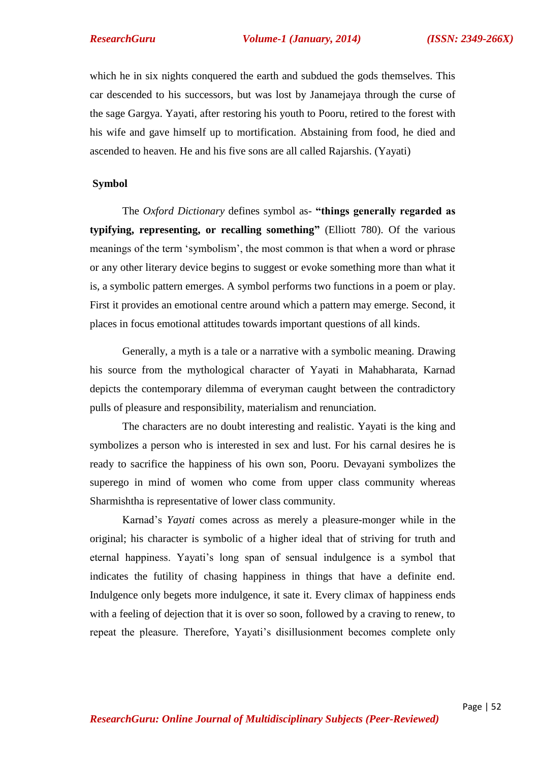which he in six nights conquered the earth and subdued the gods themselves. This car descended to his successors, but was lost by Janamejaya through the curse of the sage Gargya. Yayati, after restoring his youth to Pooru, retired to the forest with his wife and gave himself up to mortification. Abstaining from food, he died and ascended to heaven. He and his five sons are all called Rajarshis. (Yayati)

### **Symbol**

The *Oxford Dictionary* defines symbol as- **"things generally regarded as typifying, representing, or recalling something"** (Elliott 780). Of the various meanings of the term 'symbolism', the most common is that when a word or phrase or any other literary device begins to suggest or evoke something more than what it is, a symbolic pattern emerges. A symbol performs two functions in a poem or play. First it provides an emotional centre around which a pattern may emerge. Second, it places in focus emotional attitudes towards important questions of all kinds.

Generally, a myth is a tale or a narrative with a symbolic meaning. Drawing his source from the mythological character of Yayati in Mahabharata, Karnad depicts the contemporary dilemma of everyman caught between the contradictory pulls of pleasure and responsibility, materialism and renunciation.

The characters are no doubt interesting and realistic. Yayati is the king and symbolizes a person who is interested in sex and lust. For his carnal desires he is ready to sacrifice the happiness of his own son, Pooru. Devayani symbolizes the superego in mind of women who come from upper class community whereas Sharmishtha is representative of lower class community.

Karnad's *Yayati* comes across as merely a pleasure-monger while in the original; his character is symbolic of a higher ideal that of striving for truth and eternal happiness. Yayati's long span of sensual indulgence is a symbol that indicates the futility of chasing happiness in things that have a definite end. Indulgence only begets more indulgence, it sate it. Every climax of happiness ends with a feeling of dejection that it is over so soon, followed by a craving to renew, to repeat the pleasure. Therefore, Yayati's disillusionment becomes complete only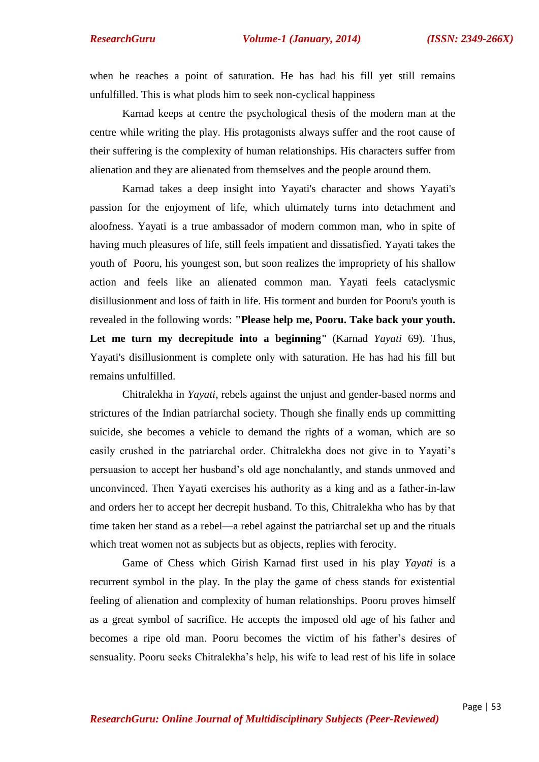when he reaches a point of saturation. He has had his fill yet still remains unfulfilled. This is what plods him to seek non-cyclical happiness

Karnad keeps at centre the psychological thesis of the modern man at the centre while writing the play. His protagonists always suffer and the root cause of their suffering is the complexity of human relationships. His characters suffer from alienation and they are alienated from themselves and the people around them.

Karnad takes a deep insight into Yayati's character and shows Yayati's passion for the enjoyment of life, which ultimately turns into detachment and aloofness. Yayati is a true ambassador of modern common man, who in spite of having much pleasures of life, still feels impatient and dissatisfied. Yayati takes the youth of Pooru, his youngest son, but soon realizes the impropriety of his shallow action and feels like an alienated common man. Yayati feels cataclysmic disillusionment and loss of faith in life. His torment and burden for Pooru's youth is revealed in the following words: **"Please help me, Pooru. Take back your youth. Let me turn my decrepitude into a beginning"** (Karnad *Yayati* 69). Thus, Yayati's disillusionment is complete only with saturation. He has had his fill but remains unfulfilled.

Chitralekha in *Yayati*, rebels against the unjust and gender-based norms and strictures of the Indian patriarchal society. Though she finally ends up committing suicide, she becomes a vehicle to demand the rights of a woman, which are so easily crushed in the patriarchal order. Chitralekha does not give in to Yayati's persuasion to accept her husband's old age nonchalantly, and stands unmoved and unconvinced. Then Yayati exercises his authority as a king and as a father-in-law and orders her to accept her decrepit husband. To this, Chitralekha who has by that time taken her stand as a rebel—a rebel against the patriarchal set up and the rituals which treat women not as subjects but as objects, replies with ferocity.

Game of Chess which Girish Karnad first used in his play *Yayati* is a recurrent symbol in the play. In the play the game of chess stands for existential feeling of alienation and complexity of human relationships. Pooru proves himself as a great symbol of sacrifice. He accepts the imposed old age of his father and becomes a ripe old man. Pooru becomes the victim of his father's desires of sensuality. Pooru seeks Chitralekha's help, his wife to lead rest of his life in solace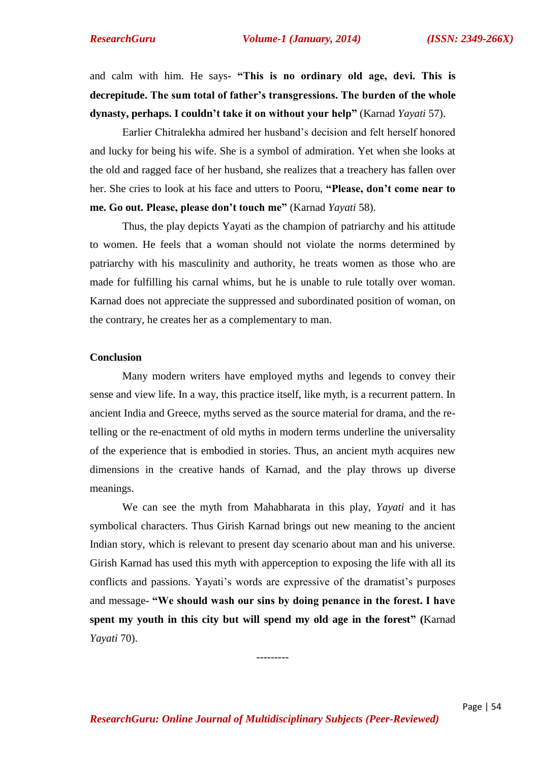and calm with him. He says- **"This is no ordinary old age, devi. This is decrepitude. The sum total of father's transgressions. The burden of the whole dynasty, perhaps. I couldn't take it on without your help"** (Karnad *Yayati* 57).

Earlier Chitralekha admired her husband's decision and felt herself honored and lucky for being his wife. She is a symbol of admiration. Yet when she looks at the old and ragged face of her husband, she realizes that a treachery has fallen over her. She cries to look at his face and utters to Pooru, **"Please, don't come near to me. Go out. Please, please don't touch me"** (Karnad *Yayati* 58).

Thus, the play depicts Yayati as the champion of patriarchy and his attitude to women. He feels that a woman should not violate the norms determined by patriarchy with his masculinity and authority, he treats women as those who are made for fulfilling his carnal whims, but he is unable to rule totally over woman. Karnad does not appreciate the suppressed and subordinated position of woman, on the contrary, he creates her as a complementary to man.

### **Conclusion**

Many modern writers have employed myths and legends to convey their sense and view life. In a way, this practice itself, like myth, is a recurrent pattern. In ancient India and Greece, myths served as the source material for drama, and the retelling or the re-enactment of old myths in modern terms underline the universality of the experience that is embodied in stories. Thus, an ancient myth acquires new dimensions in the creative hands of Karnad, and the play throws up diverse meanings.

We can see the myth from Mahabharata in this play, *Yayati* and it has symbolical characters. Thus Girish Karnad brings out new meaning to the ancient Indian story, which is relevant to present day scenario about man and his universe. Girish Karnad has used this myth with apperception to exposing the life with all its conflicts and passions. Yayati's words are expressive of the dramatist's purposes and message- **"We should wash our sins by doing penance in the forest. I have spent my youth in this city but will spend my old age in the forest" (**Karnad *Yayati* 70).

---------